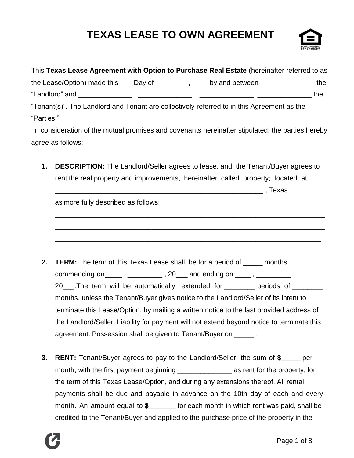# **TEXAS LEASE TO OWN AGREEMENT**



| This Texas Lease Agreement with Option to Purchase Real Estate (hereinafter referred to as          |  |     |
|-----------------------------------------------------------------------------------------------------|--|-----|
| the Lease/Option) made this $\_\_\_$ Day of $\_\_\_\_$ , $\_\_\_$ by and between $\_\_\_\_\_\_$ the |  |     |
|                                                                                                     |  | the |
| "Tenant(s)". The Landlord and Tenant are collectively referred to in this Agreement as the          |  |     |
| "Parties."                                                                                          |  |     |
| In consideration of the mutual promises and covenants hereinafter stipulated, the parties hereby    |  |     |
| agree as follows:                                                                                   |  |     |
|                                                                                                     |  |     |

**1. DESCRIPTION:** The Landlord/Seller agrees to lease, and, the Tenant/Buyer agrees to rent the real property and improvements, hereinafter called property; located at

\_\_\_\_\_\_\_\_\_\_\_\_\_\_\_\_\_\_\_\_\_\_\_\_\_\_\_\_\_\_\_\_\_\_\_\_\_\_\_\_\_\_\_\_\_\_\_\_\_\_\_\_\_\_\_\_\_\_\_\_\_\_\_\_\_\_\_\_\_\_

\_\_\_\_\_\_\_\_\_\_\_\_\_\_\_\_\_\_\_\_\_\_\_\_\_\_\_\_\_\_\_\_\_\_\_\_\_\_\_\_\_\_\_\_\_\_\_\_\_\_\_\_\_\_\_\_\_\_\_\_\_\_\_\_\_\_\_\_\_\_

\_\_\_\_\_\_\_\_\_\_\_\_\_\_\_\_\_\_\_\_\_\_\_\_\_\_\_\_\_\_\_\_\_\_\_\_\_\_\_\_\_\_\_\_\_\_\_\_\_\_\_\_\_\_\_\_\_\_\_\_\_\_\_\_\_\_\_\_\_

 $\blacksquare$  , Texas

as more fully described as follows:

- **2. TERM:** The term of this Texas Lease shall be for a period of \_\_\_\_\_ months commencing on \_\_\_\_\_\_ , \_\_\_\_\_\_\_\_\_\_\_\_ , 20 \_\_\_ and ending on \_\_\_\_\_ , \_\_\_\_\_\_\_\_\_\_\_ , 20\_\_\_\_.The term will be automatically extended for \_\_\_\_\_\_\_\_ periods of \_\_\_\_\_\_\_\_ months, unless the Tenant/Buyer gives notice to the Landlord/Seller of its intent to terminate this Lease/Option, by mailing a written notice to the last provided address of the Landlord/Seller. Liability for payment will not extend beyond notice to terminate this agreement. Possession shall be given to Tenant/Buyer on \_\_\_\_\_ .
- **3. RENT:** Tenant/Buyer agrees to pay to the Landlord/Seller, the sum of **\$\_\_\_\_\_** per month, with the first payment beginning \_\_\_\_\_\_\_\_\_\_\_\_\_\_ as rent for the property, for the term of this Texas Lease/Option, and during any extensions thereof. All rental payments shall be due and payable in advance on the 10th day of each and every month. An amount equal to **\$\_\_\_\_\_\_\_** for each month in which rent was paid, shall be credited to the Tenant/Buyer and applied to the purchase price of the property in the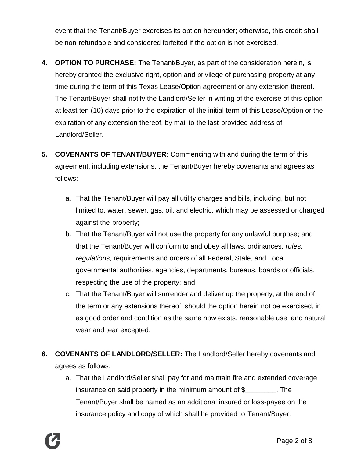event that the Tenant/Buyer exercises its option hereunder; otherwise, this credit shall be non-refundable and considered forfeited if the option is not exercised.

- **4. OPTION TO PURCHASE:** The Tenant/Buyer, as part of the consideration herein, is hereby granted the exclusive right, option and privilege of purchasing property at any time during the term of this Texas Lease/Option agreement or any extension thereof. The Tenant/Buyer shall notify the Landlord/Seller in writing of the exercise of this option at least ten (10) days prior to the expiration of the initial term of this Lease/Option or the expiration of any extension thereof, by mail to the last-provided address of Landlord/Seller.
- **5. COVENANTS OF TENANT/BUYER**: Commencing with and during the term of this agreement, including extensions, the Tenant/Buyer hereby covenants and agrees as follows:
	- a. That the Tenant/Buyer will pay all utility charges and bills, including, but not limited to, water, sewer, gas, oil, and electric, which may be assessed or charged against the property;
	- b. That the Tenant/Buyer will not use the property for any unlawful purpose; and that the Tenant/Buyer will conform to and obey all laws, ordinances, *rules, regulations,* requirements and orders of all Federal, Stale, and Local governmental authorities, agencies, departments, bureaus, boards or officials, respecting the use of the property; and
	- c. That the Tenant/Buyer will surrender and deliver up the property, at the end of the term or any extensions thereof, should the option herein not be exercised, in as good order and condition as the same now exists, reasonable use and natural wear and tear excepted.
- **6. COVENANTS OF LANDLORD/SELLER:** The Landlord/Seller hereby covenants and agrees as follows:
	- a. That the Landlord/Seller shall pay for and maintain fire and extended coverage insurance on said property in the minimum amount of **\$\_\_\_\_\_\_\_\_**. The Tenant/Buyer shall be named as an additional insured or loss-payee on the insurance policy and copy of which shall be provided to Tenant/Buyer.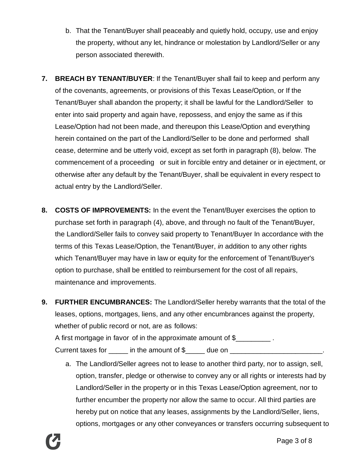- b. That the Tenant/Buyer shall peaceably and quietly hold, occupy, use and enjoy the property, without any let, hindrance or molestation by Landlord/Seller or any person associated therewith.
- **7. BREACH BY TENANT/BUYER**: If the Tenant/Buyer shall fail to keep and perform any of the covenants, agreements, or provisions of this Texas Lease/Option, or If the Tenant/Buyer shall abandon the property; it shall be lawful for the Landlord/Seller to enter into said property and again have, repossess, and enjoy the same as if this Lease/Option had not been made, and thereupon this Lease/Option and everything herein contained on the part of the Landlord/Seller to be done and performed shall cease, determine and be utterly void, except as set forth in paragraph (8), below. The commencement of a proceeding or suit in forcible entry and detainer or in ejectment, or otherwise after any default by the Tenant/Buyer, shall be equivalent in every respect to actual entry by the Landlord/Seller.
- **8. COSTS OF IMPROVEMENTS:** In the event the Tenant/Buyer exercises the option to purchase set forth in paragraph (4), above, and through no fault of the Tenant/Buyer, the Landlord/Seller fails to convey said property to Tenant/Buyer In accordance with the terms of this Texas Lease/Option, the Tenant/Buyer, *in* addition to any other rights which Tenant/Buyer may have in law or equity for the enforcement of Tenant/Buyer's option to purchase, shall be entitled to reimbursement for the cost of all repairs, maintenance and improvements.
- **9. FURTHER ENCUMBRANCES:** The Landlord/Seller hereby warrants that the total of the leases, options, mortgages, liens, and any other encumbrances against the property, whether of public record or not, are as follows: A first mortgage in favor of in the approximate amount of \$ Current taxes for \_\_\_\_\_\_ in the amount of \$\_\_\_\_\_ due on \_\_\_\_\_\_\_\_\_\_\_\_\_\_\_\_\_\_\_\_\_\_\_\_
	- a. The Landlord/Seller agrees not to lease to another third party, nor to assign, sell, option, transfer, pledge or otherwise to convey any or all rights or interests had by Landlord/Seller in the property or in this Texas Lease/Option agreement, nor to further encumber the property nor allow the same to occur. All third parties are hereby put on notice that any leases, assignments by the Landlord/Seller, liens, options, mortgages or any other conveyances or transfers occurring subsequent to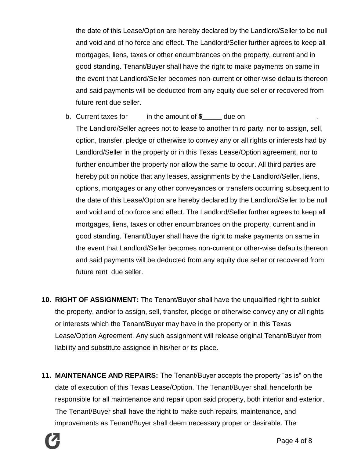the date of this Lease/Option are hereby declared by the Landlord/Seller to be null and void and of no force and effect. The Landlord/Seller further agrees to keep all mortgages, liens, taxes or other encumbrances on the property, current and in good standing. Tenant/Buyer shall have the right to make payments on same in the event that Landlord/Seller becomes non-current or other-wise defaults thereon and said payments will be deducted from any equity due seller or recovered from future rent due seller.

- b. Current taxes for \_\_\_\_ in the amount of **\$\_\_\_\_\_** due on \_\_\_\_\_\_\_\_\_\_\_\_\_\_\_\_\_\_. The Landlord/Seller agrees not to lease to another third party, nor to assign, sell, option, transfer, pledge or otherwise to convey any or all rights or interests had by Landlord/Seller in the property or in this Texas Lease/Option agreement, nor to further encumber the property nor allow the same to occur. All third parties are hereby put on notice that any leases, assignments by the Landlord/Seller, liens, options, mortgages or any other conveyances or transfers occurring subsequent to the date of this Lease/Option are hereby declared by the Landlord/Seller to be null and void and of no force and effect. The Landlord/Seller further agrees to keep all mortgages, liens, taxes or other encumbrances on the property, current and in good standing. Tenant/Buyer shall have the right to make payments on same in the event that Landlord/Seller becomes non-current or other-wise defaults thereon and said payments will be deducted from any equity due seller or recovered from future rent due seller.
- **10. RIGHT OF ASSIGNMENT:** The Tenant/Buyer shall have the unqualified right to sublet the property, and/or to assign, sell, transfer, pledge or otherwise convey any or all rights or interests which the Tenant/Buyer may have in the property or in this Texas Lease/Option Agreement. Any such assignment will release original Tenant/Buyer from liability and substitute assignee in his/her or its place.
- **11. MAINTENANCE AND REPAIRS:** The Tenant/Buyer accepts the property "as is" on the date of execution of this Texas Lease/Option. The Tenant/Buyer shall henceforth be responsible for all maintenance and repair upon said property, both interior and exterior. The Tenant/Buyer shall have the right to make such repairs, maintenance, and improvements as Tenant/Buyer shall deem necessary proper or desirable. The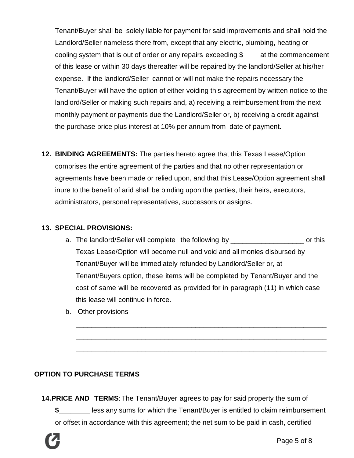Tenant/Buyer shall be solely liable for payment for said improvements and shall hold the Landlord/Seller nameless there from, except that any electric, plumbing, heating or cooling system that is out of order or any repairs exceeding  $\frac{1}{2}$  at the commencement of this lease or within 30 days thereafter will be repaired by the landlord/Seller at his/her expense. If the landlord/Seller cannot or will not make the repairs necessary the Tenant/Buyer will have the option of either voiding this agreement by written notice to the landlord/Seller or making such repairs and, a) receiving a reimbursement from the next monthly payment or payments due the Landlord/Seller or, b) receiving a credit against the purchase price plus interest at 10% per annum from date of payment.

**12. BINDING AGREEMENTS:** The parties hereto agree that this Texas Lease/Option comprises the entire agreement of the parties and that no other representation or agreements have been made or relied upon, and that this Lease/Option agreement shall inure to the benefit of arid shall be binding upon the parties, their heirs, executors, administrators, personal representatives, successors or assigns.

#### **13. SPECIAL PROVISIONS:**

a. The landlord/Seller will complete the following by \_\_\_\_\_\_\_\_\_\_\_\_\_\_\_\_\_\_\_\_\_\_\_\_\_\_ or this Texas Lease/Option will become null and void and all monies disbursed by Tenant/Buyer will be immediately refunded by Landlord/Seller or, at Tenant/Buyers option, these items will be completed by Tenant/Buyer and the cost of same will be recovered as provided for in paragraph (11) in which case this lease will continue in force.

\_\_\_\_\_\_\_\_\_\_\_\_\_\_\_\_\_\_\_\_\_\_\_\_\_\_\_\_\_\_\_\_\_\_\_\_\_\_\_\_\_\_\_\_\_\_\_\_\_\_\_\_\_\_\_\_\_\_\_\_\_\_\_\_\_

\_\_\_\_\_\_\_\_\_\_\_\_\_\_\_\_\_\_\_\_\_\_\_\_\_\_\_\_\_\_\_\_\_\_\_\_\_\_\_\_\_\_\_\_\_\_\_\_\_\_\_\_\_\_\_\_\_\_\_\_\_\_\_\_\_

\_\_\_\_\_\_\_\_\_\_\_\_\_\_\_\_\_\_\_\_\_\_\_\_\_\_\_\_\_\_\_\_\_\_\_\_\_\_\_\_\_\_\_\_\_\_\_\_\_\_\_\_\_\_\_\_\_\_\_\_\_\_\_\_\_

b. Other provisions

## **OPTION TO PURCHASE TERMS**

**14.PRICE AND TERMS**: The Tenant/Buyer agrees to pay for said property the sum of **\$\_\_\_\_\_\_\_\_** less any sums for which the Tenant/Buyer is entitled to claim reimbursement or offset in accordance with this agreement; the net sum to be paid in cash, certified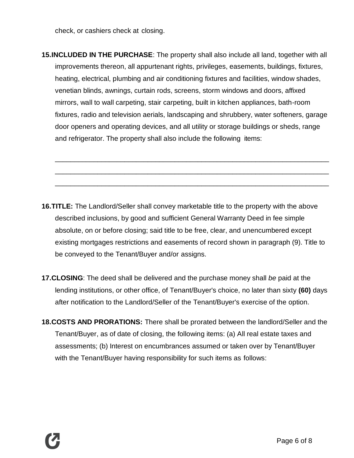check, or cashiers check at closing.

**15.INCLUDED IN THE PURCHASE**: The property shall also include all land, together with all improvements thereon, all appurtenant rights, privileges, easements, buildings, fixtures, heating, electrical, plumbing and air conditioning fixtures and facilities, window shades, venetian blinds, awnings, curtain rods, screens, storm windows and doors, affixed mirrors, wall to wall carpeting, stair carpeting, built in kitchen appliances, bath-room fixtures, radio and television aerials, landscaping and shrubbery, water softeners, garage door openers and operating devices, and all utility or storage buildings or sheds, range and refrigerator. The property shall also include the following items:

\_\_\_\_\_\_\_\_\_\_\_\_\_\_\_\_\_\_\_\_\_\_\_\_\_\_\_\_\_\_\_\_\_\_\_\_\_\_\_\_\_\_\_\_\_\_\_\_\_\_\_\_\_\_\_\_\_\_\_\_\_\_\_\_\_\_\_\_\_\_\_

\_\_\_\_\_\_\_\_\_\_\_\_\_\_\_\_\_\_\_\_\_\_\_\_\_\_\_\_\_\_\_\_\_\_\_\_\_\_\_\_\_\_\_\_\_\_\_\_\_\_\_\_\_\_\_\_\_\_\_\_\_\_\_\_\_\_\_\_\_\_\_

\_\_\_\_\_\_\_\_\_\_\_\_\_\_\_\_\_\_\_\_\_\_\_\_\_\_\_\_\_\_\_\_\_\_\_\_\_\_\_\_\_\_\_\_\_\_\_\_\_\_\_\_\_\_\_\_\_\_\_\_\_\_\_\_\_\_\_\_\_\_\_

- **16.TITLE:** The Landlord/Seller shall convey marketable title to the property with the above described inclusions, by good and sufficient General Warranty Deed in fee simple absolute, on or before closing; said title to be free, clear, and unencumbered except existing mortgages restrictions and easements of record shown in paragraph (9). Title to be conveyed to the Tenant/Buyer and/or assigns.
- **17.CLOSING**: The deed shall be delivered and the purchase money shall *be* paid at the lending institutions, or other office, of Tenant/Buyer's choice, no later than sixty **(60)** days after notification to the Landlord/Seller of the Tenant/Buyer's exercise of the option.
- **18.COSTS AND PRORATIONS:** There shall be prorated between the landlord/Seller and the Tenant/Buyer, as of date of closing, the following items: (a) All real estate taxes and assessments; (b) Interest on encumbrances assumed or taken over by Tenant/Buyer with the Tenant/Buyer having responsibility for such items as follows: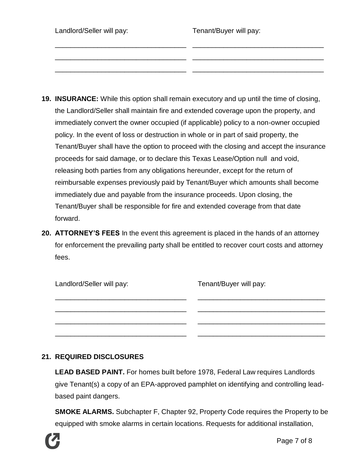| Landlord/Seller will pay: | Tenant/Buyer will pay: |
|---------------------------|------------------------|
|                           |                        |

- **19. INSURANCE:** While this option shall remain executory and up until the time of closing, the Landlord/Seller shall maintain fire and extended coverage upon the property, and immediately convert the owner occupied (if applicable) policy to a non-owner occupied policy. In the event of loss or destruction in whole or in part of said property, the Tenant/Buyer shall have the option to proceed with the closing and accept the insurance proceeds for said damage, or to declare this Texas Lease/Option null and void, releasing both parties from any obligations hereunder, except for the return of reimbursable expenses previously paid by Tenant/Buyer which amounts shall become immediately due and payable from the insurance proceeds. Upon closing, the Tenant/Buyer shall be responsible for fire and extended coverage from that date forward.
- **20. ATTORNEY'S FEES** In the event this agreement is placed in the hands of an attorney for enforcement the prevailing party shall be entitled to recover court costs and attorney fees.

| Landlord/Seller will pay: | Tenant/Buyer will pay: |
|---------------------------|------------------------|
|                           |                        |
|                           |                        |

## **21. REQUIRED DISCLOSURES**

**LEAD BASED PAINT.** For homes built before 1978, Federal Law requires Landlords give Tenant(s) a copy of an EPA-approved pamphlet on identifying and controlling leadbased paint dangers.

**SMOKE ALARMS.** Subchapter F, Chapter 92, Property Code requires the Property to be equipped with smoke alarms in certain locations. Requests for additional installation,